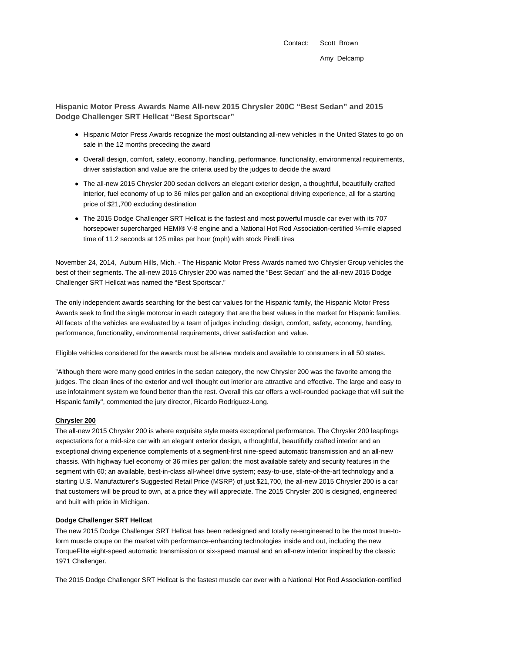Contact: Scott Brown Amy Delcamp

**Hispanic Motor Press Awards Name All-new 2015 Chrysler 200C "Best Sedan" and 2015 Dodge Challenger SRT Hellcat "Best Sportscar"**

- Hispanic Motor Press Awards recognize the most outstanding all-new vehicles in the United States to go on sale in the 12 months preceding the award
- Overall design, comfort, safety, economy, handling, performance, functionality, environmental requirements, driver satisfaction and value are the criteria used by the judges to decide the award
- The all-new 2015 Chrysler 200 sedan delivers an elegant exterior design, a thoughtful, beautifully crafted interior, fuel economy of up to 36 miles per gallon and an exceptional driving experience, all for a starting price of \$21,700 excluding destination
- The 2015 Dodge Challenger SRT Hellcat is the fastest and most powerful muscle car ever with its 707 horsepower supercharged HEMI® V-8 engine and a National Hot Rod Association-certified ¼-mile elapsed time of 11.2 seconds at 125 miles per hour (mph) with stock Pirelli tires

November 24, 2014, Auburn Hills, Mich. - The Hispanic Motor Press Awards named two Chrysler Group vehicles the best of their segments. The all-new 2015 Chrysler 200 was named the "Best Sedan" and the all-new 2015 Dodge Challenger SRT Hellcat was named the "Best Sportscar."

The only independent awards searching for the best car values for the Hispanic family, the Hispanic Motor Press Awards seek to find the single motorcar in each category that are the best values in the market for Hispanic families. All facets of the vehicles are evaluated by a team of judges including: design, comfort, safety, economy, handling, performance, functionality, environmental requirements, driver satisfaction and value.

Eligible vehicles considered for the awards must be all-new models and available to consumers in all 50 states.

"Although there were many good entries in the sedan category, the new Chrysler 200 was the favorite among the judges. The clean lines of the exterior and well thought out interior are attractive and effective. The large and easy to use infotainment system we found better than the rest. Overall this car offers a well-rounded package that will suit the Hispanic family", commented the jury director, Ricardo Rodriguez-Long.

# **Chrysler 200**

The all-new 2015 Chrysler 200 is where exquisite style meets exceptional performance. The Chrysler 200 leapfrogs expectations for a mid-size car with an elegant exterior design, a thoughtful, beautifully crafted interior and an exceptional driving experience complements of a segment-first nine-speed automatic transmission and an all-new chassis. With highway fuel economy of 36 miles per gallon; the most available safety and security features in the segment with 60; an available, best-in-class all-wheel drive system; easy-to-use, state-of-the-art technology and a starting U.S. Manufacturer's Suggested Retail Price (MSRP) of just \$21,700, the all-new 2015 Chrysler 200 is a car that customers will be proud to own, at a price they will appreciate. The 2015 Chrysler 200 is designed, engineered and built with pride in Michigan.

### **Dodge Challenger SRT Hellcat**

The new 2015 Dodge Challenger SRT Hellcat has been redesigned and totally re-engineered to be the most true-toform muscle coupe on the market with performance-enhancing technologies inside and out, including the new TorqueFlite eight-speed automatic transmission or six-speed manual and an all-new interior inspired by the classic 1971 Challenger.

The 2015 Dodge Challenger SRT Hellcat is the fastest muscle car ever with a National Hot Rod Association-certified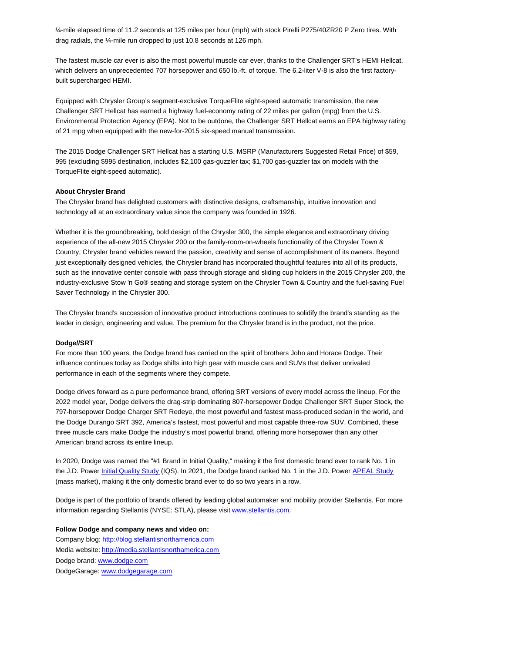¼-mile elapsed time of 11.2 seconds at 125 miles per hour (mph) with stock Pirelli P275/40ZR20 P Zero tires. With drag radials, the ¼-mile run dropped to just 10.8 seconds at 126 mph.

The fastest muscle car ever is also the most powerful muscle car ever, thanks to the Challenger SRT's HEMI Hellcat, which delivers an unprecedented 707 horsepower and 650 lb.-ft. of torque. The 6.2-liter V-8 is also the first factorybuilt supercharged HEMI.

Equipped with Chrysler Group's segment-exclusive TorqueFlite eight-speed automatic transmission, the new Challenger SRT Hellcat has earned a highway fuel-economy rating of 22 miles per gallon (mpg) from the U.S. Environmental Protection Agency (EPA). Not to be outdone, the Challenger SRT Hellcat earns an EPA highway rating of 21 mpg when equipped with the new-for-2015 six-speed manual transmission.

The 2015 Dodge Challenger SRT Hellcat has a starting U.S. MSRP (Manufacturers Suggested Retail Price) of \$59, 995 (excluding \$995 destination, includes \$2,100 gas-guzzler tax; \$1,700 gas-guzzler tax on models with the TorqueFlite eight-speed automatic).

## **About Chrysler Brand**

The Chrysler brand has delighted customers with distinctive designs, craftsmanship, intuitive innovation and technology all at an extraordinary value since the company was founded in 1926.

Whether it is the groundbreaking, bold design of the Chrysler 300, the simple elegance and extraordinary driving experience of the all-new 2015 Chrysler 200 or the family-room-on-wheels functionality of the Chrysler Town & Country, Chrysler brand vehicles reward the passion, creativity and sense of accomplishment of its owners. Beyond just exceptionally designed vehicles, the Chrysler brand has incorporated thoughtful features into all of its products, such as the innovative center console with pass through storage and sliding cup holders in the 2015 Chrysler 200, the industry-exclusive Stow 'n Go® seating and storage system on the Chrysler Town & Country and the fuel-saving Fuel Saver Technology in the Chrysler 300.

The Chrysler brand's succession of innovative product introductions continues to solidify the brand's standing as the leader in design, engineering and value. The premium for the Chrysler brand is in the product, not the price.

#### **Dodge//SRT**

For more than 100 years, the Dodge brand has carried on the spirit of brothers John and Horace Dodge. Their influence continues today as Dodge shifts into high gear with muscle cars and SUVs that deliver unrivaled performance in each of the segments where they compete.

Dodge drives forward as a pure performance brand, offering SRT versions of every model across the lineup. For the 2022 model year, Dodge delivers the drag-strip dominating 807-horsepower Dodge Challenger SRT Super Stock, the 797-horsepower Dodge Charger SRT Redeye, the most powerful and fastest mass-produced sedan in the world, and the Dodge Durango SRT 392, America's fastest, most powerful and most capable three-row SUV. Combined, these three muscle cars make Dodge the industry's most powerful brand, offering more horsepower than any other American brand across its entire lineup.

In 2020, Dodge was named the "#1 Brand in Initial Quality," making it the first domestic brand ever to rank No. 1 in the J.D. Power Initial Quality Study (IQS). In 2021, the Dodge brand ranked No. 1 in the J.D. Power APEAL Study (mass market), making it the only domestic brand ever to do so two years in a row.

Dodge is part of the portfolio of brands offered by leading global automaker and mobility provider Stellantis. For more information regarding Stellantis (NYSE: STLA), please visit www.stellantis.com.

# **Follow Dodge and company news and video on:**

Company blog: http://blog.stellantisnorthamerica.com Media website: http://media.stellantisnorthamerica.com Dodge brand: www.dodge.com DodgeGarage: www.dodgegarage.com